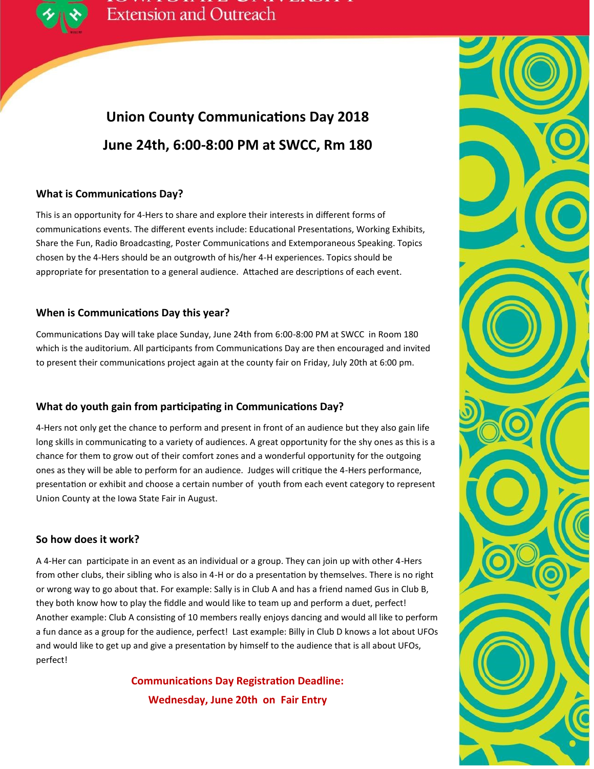

## **Union County Communications Day 2018 June 24th, 6:00-8:00 PM at SWCC, Rm 180**

#### **What is Communications Day?**

This is an opportunity for 4-Hers to share and explore their interests in different forms of communications events. The different events include: Educational Presentations, Working Exhibits, Share the Fun, Radio Broadcasting, Poster Communications and Extemporaneous Speaking. Topics chosen by the 4-Hers should be an outgrowth of his/her 4-H experiences. Topics should be appropriate for presentation to a general audience. Attached are descriptions of each event.

#### **When is Communications Day this year?**

Communications Day will take place Sunday, June 24th from 6:00-8:00 PM at SWCC in Room 180 which is the auditorium. All participants from Communications Day are then encouraged and invited to present their communications project again at the county fair on Friday, July 20th at 6:00 pm.

#### **What do youth gain from participating in Communications Day?**

4-Hers not only get the chance to perform and present in front of an audience but they also gain life long skills in communicating to a variety of audiences. A great opportunity for the shy ones as this is a chance for them to grow out of their comfort zones and a wonderful opportunity for the outgoing ones as they will be able to perform for an audience. Judges will critique the 4-Hers performance, presentation or exhibit and choose a certain number of youth from each event category to represent Union County at the Iowa State Fair in August.

#### **So how does it work?**

A 4-Her can participate in an event as an individual or a group. They can join up with other 4-Hers from other clubs, their sibling who is also in 4-H or do a presentation by themselves. There is no right or wrong way to go about that. For example: Sally is in Club A and has a friend named Gus in Club B, they both know how to play the fiddle and would like to team up and perform a duet, perfect! Another example: Club A consisting of 10 members really enjoys dancing and would all like to perform a fun dance as a group for the audience, perfect! Last example: Billy in Club D knows a lot about UFOs and would like to get up and give a presentation by himself to the audience that is all about UFOs, perfect!

> **Communications Day Registration Deadline: Wednesday, June 20th on Fair Entry**